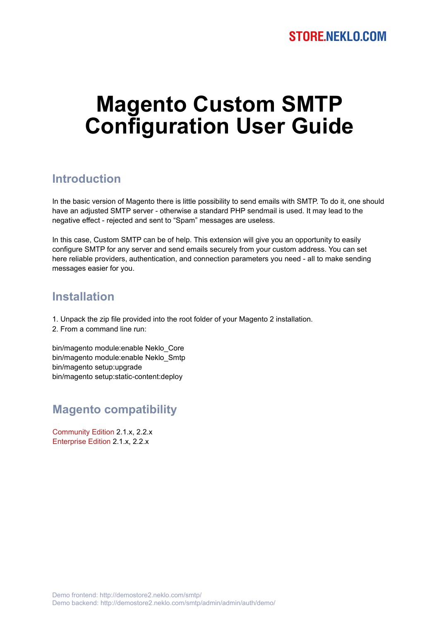# **Magento Custom SMTP Configuration User Guide**

## **Introduction**

In the basic version of Magento there is little possibility to send emails with SMTP. To do it, one should have an adjusted SMTP server - otherwise a standard PHP sendmail is used. It may lead to the negative effect - rejected and sent to "Spam" messages are useless.

In this case, Custom SMTP can be of help. This extension will give you an opportunity to easily configure SMTP for any server and send emails securely from your custom address. You can set here reliable providers, authentication, and connection parameters you need - all to make sending messages easier for you.

#### **Installation**

- 1. Unpack the zip file provided into the root folder of your Magento 2 installation.
- 2. From a command line run:

bin/magento module:enable Neklo\_Core bin/magento module:enable Neklo\_Smtp bin/magento setup:upgrade bin/magento setup:static-content:deploy

## **Magento compatibility**

Community Edition 2.1.x, 2.2.x Enterprise Edition 2.1.x, 2.2.x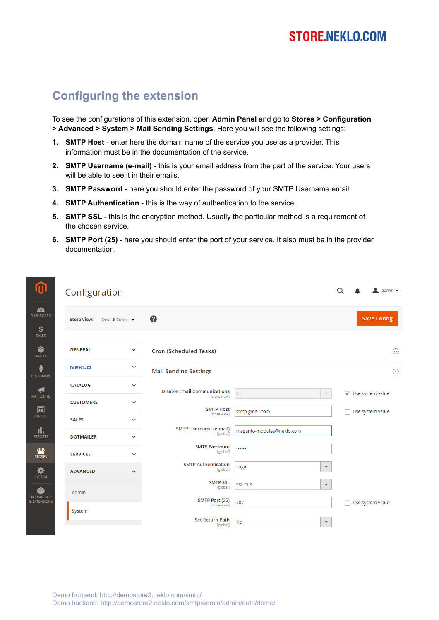## **STORE.NEKLO.COM**

## **Configuring the extension**

.<br>⊇∆⊓

.<br>Mai

 $\overline{c}$ 

 $RE$ 

To see the configurations of this extension, open **Admin Panel** and go to **Stores > Configuration > Advanced > System > Mail Sending Settings**. Here you will see the following settings:

- **1. SMTP Host**  enter here the domain name of the service you use as a provider. This information must be in the documentation of the service.
- **2. SMTP Username (e-mail)** this is your email address from the part of the service. Your users will be able to see it in their emails.
- **3. SMTP Password**  here you should enter the password of your SMTP Username email.
- **4. SMTP Authentication**  this is the way of authentication to the service.
- **5. SMTP SSL -** this is the encryption method. Usually the particular method is a requirement of the chosen service.
- **6. SMTP Port (25)**  here you should enter the port of your service. It also must be in the provider documentation.

| D                       |                    | Configuration           |                                                     |                           |                      |                                  | $\blacksquare$ admin $\blacktriangledown$ |
|-------------------------|--------------------|-------------------------|-----------------------------------------------------|---------------------------|----------------------|----------------------------------|-------------------------------------------|
| <b>X</b><br>BOARD       | <b>Store View:</b> | Default Config ▼        | 0                                                   |                           |                      |                                  | <b>Save Config</b>                        |
| LES.<br>ð<br><b>LOG</b> | <b>GENERAL</b>     | $\checkmark$            | <b>Cron (Scheduled Tasks)</b>                       |                           |                      |                                  | $\odot$                                   |
| <b>DMERS</b>            | <b>NEKLO</b>       | $\checkmark$            | <b>Mail Sending Settings</b>                        |                           |                      |                                  | $\odot$                                   |
| F<br><b>ETING</b>       | <b>CATALOG</b>     | $\checkmark$            | <b>Disable Email Communications</b><br>[store view] | <b>No</b>                 |                      | $\triangledown$ Use system value |                                           |
| 3                       | <b>CUSTOMERS</b>   | $\checkmark$            | <b>SMTP Host</b>                                    | smtp.gmail.com            |                      |                                  | Use system value                          |
| <b>TENT</b>             | <b>SALES</b>       | $\checkmark$            | [store view]<br><b>SMTP Username (e-mail)</b>       |                           |                      |                                  |                                           |
| I.<br><sub>Drts</sub>   | <b>DOTMAILER</b>   | $\checkmark$            | [global]                                            | magento-modules@neklo.com |                      |                                  |                                           |
| <b>IIV</b><br>Dres      | <b>SERVICES</b>    | $\checkmark$            | <b>SMTP Password</b><br>[global]                    |                           |                      |                                  |                                           |
| $\frac{1}{TEM}$         | <b>ADVANCED</b>    | $\widehat{\phantom{a}}$ | <b>SMTP Authentication</b><br>[global]              | Login                     | $\blacktriangledown$ |                                  |                                           |
| ð                       | Admin              |                         | <b>SMTP SSL</b><br>[global]                         | <b>SSL TLS</b>            | $\blacktriangledown$ |                                  |                                           |
| RTNERS<br><b>NSIONS</b> |                    |                         | SMTP Port (25)<br>[store view]                      | 587                       |                      |                                  | Use system value                          |
|                         | System             |                         | <b>Set Return-Path</b><br>[global]                  | <b>No</b>                 | $\mathbf{v}$         |                                  |                                           |